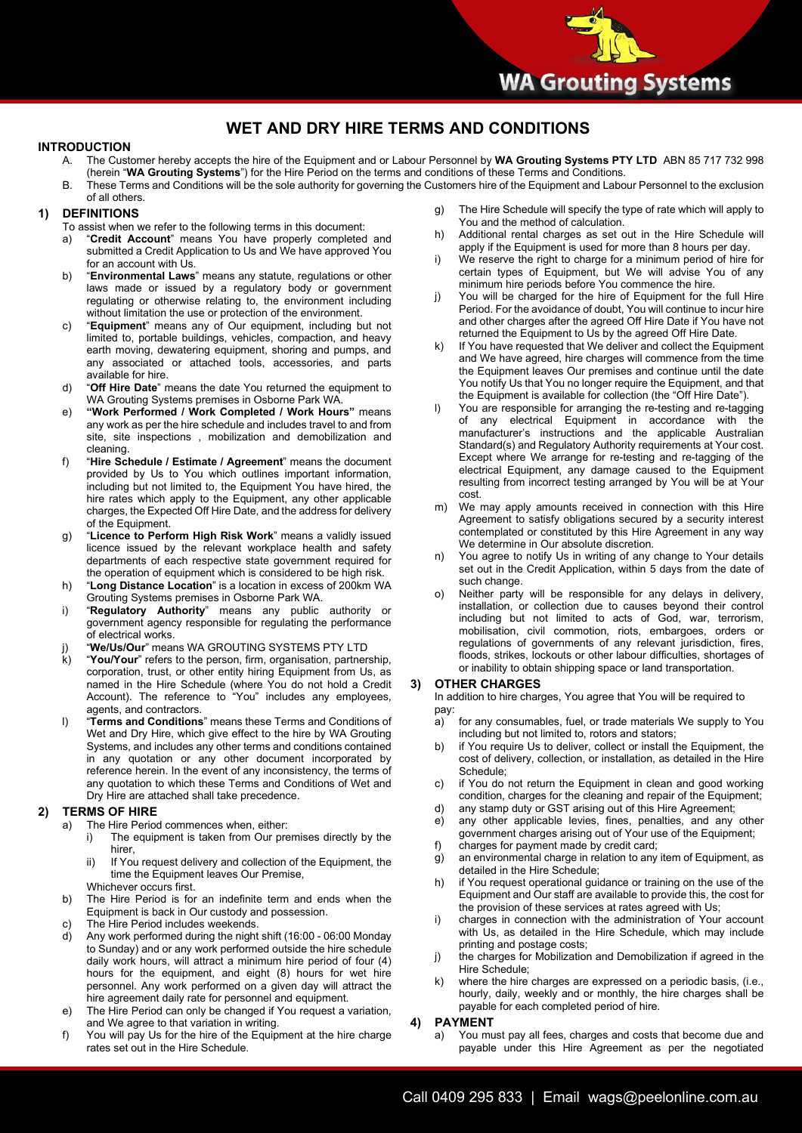## **WET AND DRY HIRE TERMS AND CONDITIONS**

## **INTRODUCTION**

- A. The Customer hereby accepts the hire of the Equipment and or Labour Personnel by **WA Grouting Systems PTY LTD** ABN 85 717 732 998 (herein "**WA Grouting Systems**") for the Hire Period on the terms and conditions of these Terms and Conditions.
- B. These Terms and Conditions will be the sole authority for governing the Customers hire of the Equipment and Labour Personnel to the exclusion of all others.

## **1) DEFINITIONS**

- To assist when we refer to the following terms in this document:
- a) "**Credit Account**" means You have properly completed and submitted a Credit Application to Us and We have approved You for an account with Us.
- b) "**Environmental Laws**" means any statute, regulations or other laws made or issued by a regulatory body or government regulating or otherwise relating to, the environment including without limitation the use or protection of the environment.
- c) "**Equipment**" means any of Our equipment, including but not limited to, portable buildings, vehicles, compaction, and heavy earth moving, dewatering equipment, shoring and pumps, and any associated or attached tools, accessories, and parts available for hire.
- d) "**Off Hire Date**" means the date You returned the equipment to WA Grouting Systems premises in Osborne Park WA.
- e) **"Work Performed / Work Completed / Work Hours"** means any work as per the hire schedule and includes travel to and from site, site inspections , mobilization and demobilization and cleaning.
- f) "**Hire Schedule / Estimate / Agreement**" means the document provided by Us to You which outlines important information, including but not limited to, the Equipment You have hired, the hire rates which apply to the Equipment, any other applicable charges, the Expected Off Hire Date, and the address for delivery of the Equipment.
- g) "**Licence to Perform High Risk Work**" means a validly issued licence issued by the relevant workplace health and safety departments of each respective state government required for the operation of equipment which is considered to be high risk.
- h) "**Long Distance Location**" is a location in excess of 200km WA Grouting Systems premises in Osborne Park WA.
- i) "**Regulatory Authority**" means any public authority or government agency responsible for regulating the performance of electrical works.
- j) "**We/Us/Our**" means WA GROUTING SYSTEMS PTY LTD
- k) "**You/Your**" refers to the person, firm, organisation, partnership, corporation, trust, or other entity hiring Equipment from Us, as named in the Hire Schedule (where You do not hold a Credit Account). The reference to "You" includes any employees, agents, and contractors.
- **Page 1 of 4** reference herein. In the event of any inconsistency, the terms of l) "**Terms and Conditions**" means these Terms and Conditions of Wet and Dry Hire, which give effect to the hire by WA Grouting Systems, and includes any other terms and conditions contained in any quotation or any other document incorporated by any quotation to which these Terms and Conditions of Wet and Dry Hire are attached shall take precedence.

## **2) TERMS OF HIRE**

- a) The Hire Period commences when, either:
	- i) The equipment is taken from Our premises directly by the hirer,
		- ii) If You request delivery and collection of the Equipment, the time the Equipment leaves Our Premise,
		- Whichever occurs first.
- b) The Hire Period is for an indefinite term and ends when the Equipment is back in Our custody and possession.
- c) The Hire Period includes weekends.<br>
d) Any work performed during the night
- Any work performed during the night shift (16:00 06:00 Monday to Sunday) and or any work performed outside the hire schedule daily work hours, will attract a minimum hire period of four (4) hours for the equipment, and eight (8) hours for wet hire personnel. Any work performed on a given day will attract the hire agreement daily rate for personnel and equipment.
- e) The Hire Period can only be changed if You request a variation, and We agree to that variation in writing.
- f) You will pay Us for the hire of the Equipment at the hire charge rates set out in the Hire Schedule.
- g) The Hire Schedule will specify the type of rate which will apply to You and the method of calculation.
- h) Additional rental charges as set out in the Hire Schedule will apply if the Equipment is used for more than 8 hours per day.
- i) We reserve the right to charge for a minimum period of hire for certain types of Equipment, but We will advise You of any minimum hire periods before You commence the hire.
- j) You will be charged for the hire of Equipment for the full Hire Period. For the avoidance of doubt, You will continue to incur hire and other charges after the agreed Off Hire Date if You have not returned the Equipment to Us by the agreed Off Hire Date.
- If You have requested that We deliver and collect the Equipment and We have agreed, hire charges will commence from the time the Equipment leaves Our premises and continue until the date You notify Us that You no longer require the Equipment, and that the Equipment is available for collection (the "Off Hire Date").
- You are responsible for arranging the re-testing and re-tagging of any electrical Equipment in accordance with the manufacturer's instructions and the applicable Australian Standard(s) and Regulatory Authority requirements at Your cost. Except where We arrange for re-testing and re-tagging of the electrical Equipment, any damage caused to the Equipment resulting from incorrect testing arranged by You will be at Your cost.
- m) We may apply amounts received in connection with this Hire Agreement to satisfy obligations secured by a security interest contemplated or constituted by this Hire Agreement in any way We determine in Our absolute discretion.
- n) You agree to notify Us in writing of any change to Your details set out in the Credit Application, within 5 days from the date of such change.
- o) Neither party will be responsible for any delays in delivery, installation, or collection due to causes beyond their control including but not limited to acts of God, war, terrorism, mobilisation, civil commotion, riots, embargoes, orders or regulations of governments of any relevant jurisdiction, fires, floods, strikes, lockouts or other labour difficulties, shortages of or inability to obtain shipping space or land transportation.

## **3) OTHER CHARGES**

In addition to hire charges, You agree that You will be required to pay:

- a) for any consumables, fuel, or trade materials We supply to You including but not limited to, rotors and stators;
- b) if You require Us to deliver, collect or install the Equipment, the cost of delivery, collection, or installation, as detailed in the Hire Schedule;
- c) if You do not return the Equipment in clean and good working condition, charges for the cleaning and repair of the Equipment;
- d) any stamp duty or GST arising out of this Hire Agreement;
- e) any other applicable levies, fines, penalties, and any other government charges arising out of Your use of the Equipment;
- f) charges for payment made by credit card; g) an environmental charge in relation to any item of Equipment, as detailed in the Hire Schedule;
- h) if You request operational guidance or training on the use of the Equipment and Our staff are available to provide this, the cost for the provision of these services at rates agreed with Us;
- i) charges in connection with the administration of Your account with Us, as detailed in the Hire Schedule, which may include printing and postage costs;
- j) the charges for Mobilization and Demobilization if agreed in the Hire Schedule;
- k) where the hire charges are expressed on a periodic basis, (i.e., hourly, daily, weekly and or monthly, the hire charges shall be payable for each completed period of hire.

#### **4) PAYMENT**

a) You must pay all fees, charges and costs that become due and payable under this Hire Agreement as per the negotiated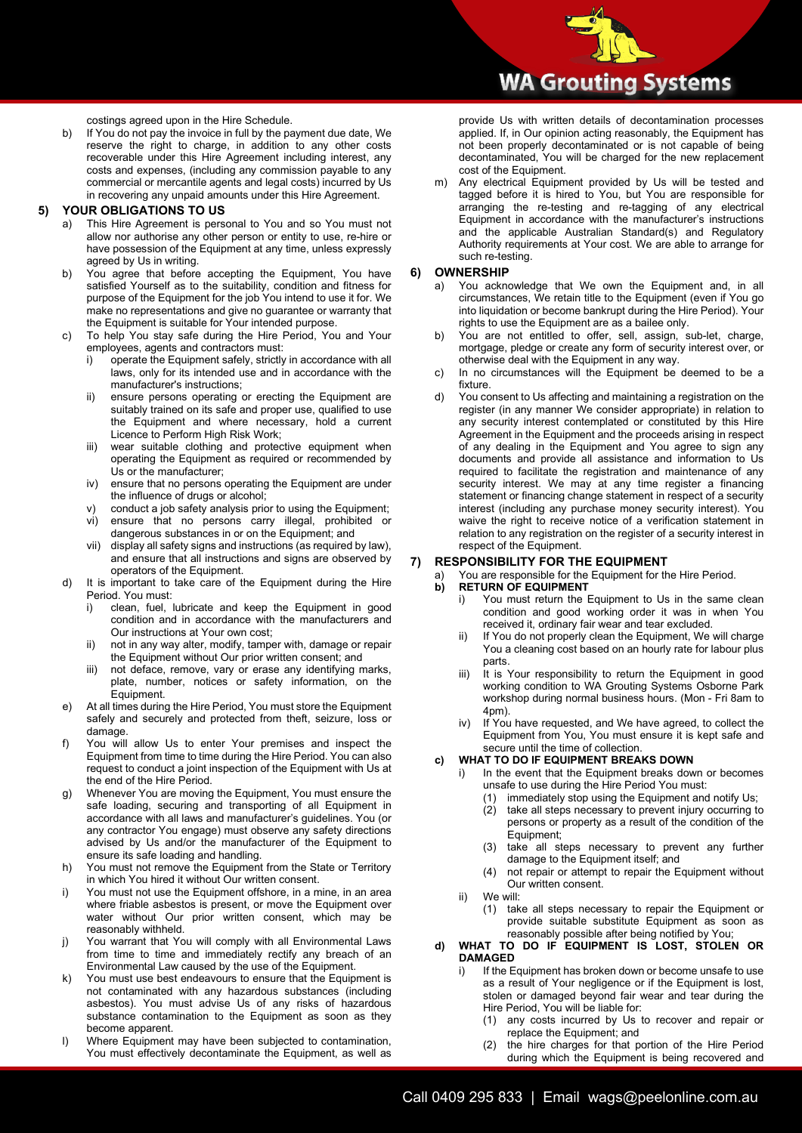costings agreed upon in the Hire Schedule.

b) If You do not pay the invoice in full by the payment due date, We reserve the right to charge, in addition to any other costs recoverable under this Hire Agreement including interest, any costs and expenses, (including any commission payable to any commercial or mercantile agents and legal costs) incurred by Us in recovering any unpaid amounts under this Hire Agreement.

#### **5) YOUR OBLIGATIONS TO US**

- This Hire Agreement is personal to You and so You must not allow nor authorise any other person or entity to use, re-hire or have possession of the Equipment at any time, unless expressly agreed by Us in writing.
- b) You agree that before accepting the Equipment, You have satisfied Yourself as to the suitability, condition and fitness for purpose of the Equipment for the job You intend to use it for. We make no representations and give no guarantee or warranty that the Equipment is suitable for Your intended purpose.
- c) To help You stay safe during the Hire Period, You and Your employees, agents and contractors must:
	- i) operate the Equipment safely, strictly in accordance with all laws, only for its intended use and in accordance with the manufacturer's instructions;
	- ii) ensure persons operating or erecting the Equipment are suitably trained on its safe and proper use, qualified to use the Equipment and where necessary, hold a current Licence to Perform High Risk Work;
	- iii) wear suitable clothing and protective equipment when operating the Equipment as required or recommended by Us or the manufacturer;
	- iv) ensure that no persons operating the Equipment are under the influence of drugs or alcohol;
	- v) conduct a job safety analysis prior to using the Equipment;<br>vi) ensure that no persons carry illegal, prohibited or
	- ensure that no persons carry illegal, prohibited or dangerous substances in or on the Equipment; and
	- vii) display all safety signs and instructions (as required by law), and ensure that all instructions and signs are observed by operators of the Equipment.
- d) It is important to take care of the Equipment during the Hire Period. You must:
	- i) clean, fuel, lubricate and keep the Equipment in good condition and in accordance with the manufacturers and Our instructions at Your own cost;
	- ii) not in any way alter, modify, tamper with, damage or repair the Equipment without Our prior written consent; and
	- iii) not deface, remove, vary or erase any identifying marks, plate, number, notices or safety information, on the Equipment.
- e) At all times during the Hire Period, You must store the Equipment safely and securely and protected from theft, seizure, loss or damage.
- **Page 2 of 4** request to conduct a joint inspection of the Equipment with Us at f) You will allow Us to enter Your premises and inspect the Equipment from time to time during the Hire Period. You can also the end of the Hire Period.
- g) Whenever You are moving the Equipment, You must ensure the safe loading, securing and transporting of all Equipment in accordance with all laws and manufacturer's guidelines. You (or any contractor You engage) must observe any safety directions advised by Us and/or the manufacturer of the Equipment to ensure its safe loading and handling.
- h) You must not remove the Equipment from the State or Territory in which You hired it without Our written consent.
- i) You must not use the Equipment offshore, in a mine, in an area where friable asbestos is present, or move the Equipment over water without Our prior written consent, which may be reasonably withheld.
- j) You warrant that You will comply with all Environmental Laws from time to time and immediately rectify any breach of an Environmental Law caused by the use of the Equipment.
- k) You must use best endeavours to ensure that the Equipment is not contaminated with any hazardous substances (including asbestos). You must advise Us of any risks of hazardous substance contamination to the Equipment as soon as they become apparent.
- l) Where Equipment may have been subjected to contamination, You must effectively decontaminate the Equipment, as well as

provide Us with written details of decontamination processes applied. If, in Our opinion acting reasonably, the Equipment has not been properly decontaminated or is not capable of being decontaminated, You will be charged for the new replacement cost of the Equipment.

m) Any electrical Equipment provided by Us will be tested and tagged before it is hired to You, but You are responsible for arranging the re-testing and re-tagging of any electrical Equipment in accordance with the manufacturer's instructions and the applicable Australian Standard(s) and Regulatory Authority requirements at Your cost. We are able to arrange for such re-testing.

### **6) OWNERSHIP**

- a) You acknowledge that We own the Equipment and, in all circumstances, We retain title to the Equipment (even if You go into liquidation or become bankrupt during the Hire Period). Your rights to use the Equipment are as a bailee only.
- b) You are not entitled to offer, sell, assign, sub-let, charge, mortgage, pledge or create any form of security interest over, or otherwise deal with the Equipment in any way.
- c) In no circumstances will the Equipment be deemed to be a fixture.
- d) You consent to Us affecting and maintaining a registration on the register (in any manner We consider appropriate) in relation to any security interest contemplated or constituted by this Hire Agreement in the Equipment and the proceeds arising in respect of any dealing in the Equipment and You agree to sign any documents and provide all assistance and information to Us required to facilitate the registration and maintenance of any security interest. We may at any time register a financing statement or financing change statement in respect of a security interest (including any purchase money security interest). You waive the right to receive notice of a verification statement in relation to any registration on the register of a security interest in respect of the Equipment.

## **7) RESPONSIBILITY FOR THE EQUIPMENT**

You are responsible for the Equipment for the Hire Period.

## **b) RETURN OF EQUIPMENT**<br>**i)** You must return the I

- You must return the Equipment to Us in the same clean condition and good working order it was in when You received it, ordinary fair wear and tear excluded.
- ii) If You do not properly clean the Equipment, We will charge You a cleaning cost based on an hourly rate for labour plus parts.
- iii) It is Your responsibility to return the Equipment in good working condition to WA Grouting Systems Osborne Park workshop during normal business hours. (Mon - Fri 8am to 4pm).
- iv) If You have requested, and We have agreed, to collect the Equipment from You, You must ensure it is kept safe and secure until the time of collection.

## **c) WHAT TO DO IF EQUIPMENT BREAKS DOWN**

- In the event that the Equipment breaks down or becomes unsafe to use during the Hire Period You must:
	- (1) immediately stop using the Equipment and notify Us;
	- (2) take all steps necessary to prevent injury occurring to persons or property as a result of the condition of the Equipment;
	- (3) take all steps necessary to prevent any further damage to the Equipment itself; and
	- (4) not repair or attempt to repair the Equipment without Our written consent.
- ii) We will:
	- (1) take all steps necessary to repair the Equipment or provide suitable substitute Equipment as soon as reasonably possible after being notified by You;
- **d) WHAT TO DO IF EQUIPMENT IS LOST, STOLEN OR DAMAGED**
	- i) If the Equipment has broken down or become unsafe to use as a result of Your negligence or if the Equipment is lost, stolen or damaged beyond fair wear and tear during the Hire Period, You will be liable for:
		- (1) any costs incurred by Us to recover and repair or replace the Equipment; and
		- (2) the hire charges for that portion of the Hire Period during which the Equipment is being recovered and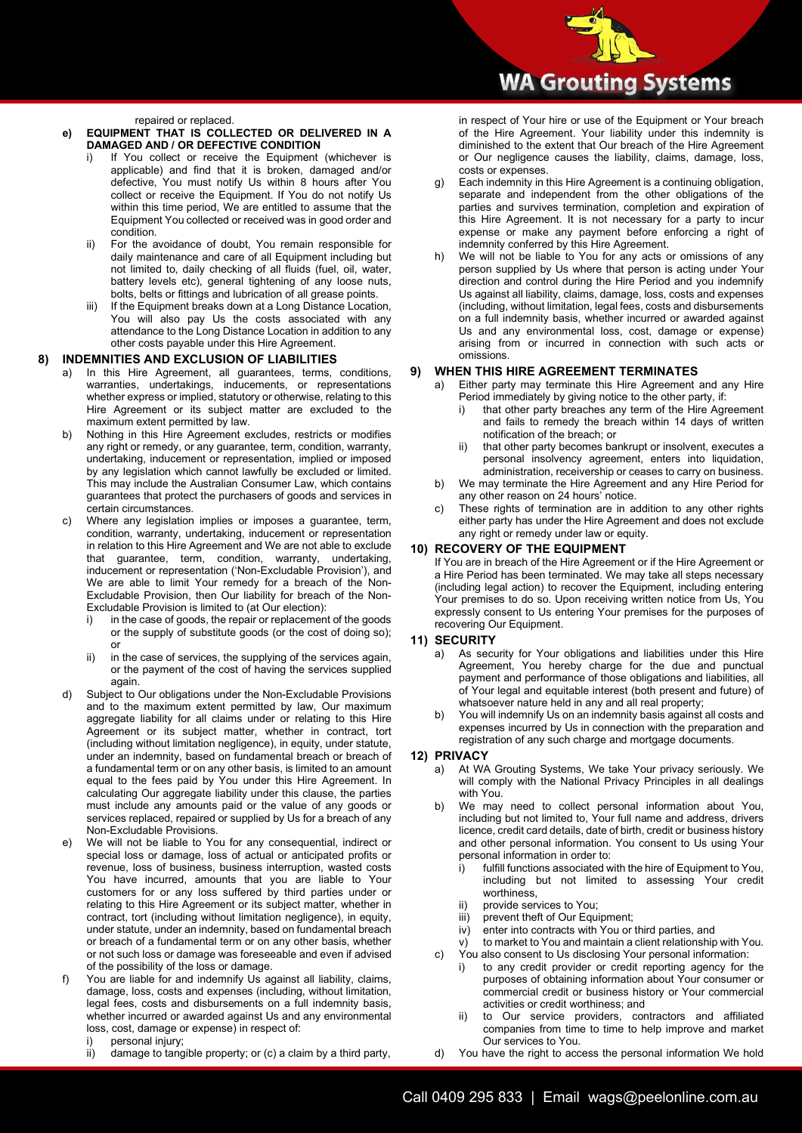repaired or replaced.

### **e) EQUIPMENT THAT IS COLLECTED OR DELIVERED IN A DAMAGED AND / OR DEFECTIVE CONDITION**

- If You collect or receive the Equipment (whichever is applicable) and find that it is broken, damaged and/or defective, You must notify Us within 8 hours after You collect or receive the Equipment. If You do not notify Us within this time period, We are entitled to assume that the Equipment You collected or received was in good order and condition.
- ii) For the avoidance of doubt, You remain responsible for daily maintenance and care of all Equipment including but not limited to, daily checking of all fluids (fuel, oil, water, battery levels etc), general tightening of any loose nuts, bolts, belts or fittings and lubrication of all grease points.
- iii) If the Equipment breaks down at a Long Distance Location, You will also pay Us the costs associated with any attendance to the Long Distance Location in addition to any other costs payable under this Hire Agreement.

## **8) INDEMNITIES AND EXCLUSION OF LIABILITIES**

- In this Hire Agreement, all guarantees, terms, conditions, warranties, undertakings, inducements, or representations whether express or implied, statutory or otherwise, relating to this Hire Agreement or its subject matter are excluded to the maximum extent permitted by law.
- b) Nothing in this Hire Agreement excludes, restricts or modifies any right or remedy, or any guarantee, term, condition, warranty, undertaking, inducement or representation, implied or imposed by any legislation which cannot lawfully be excluded or limited. This may include the Australian Consumer Law, which contains guarantees that protect the purchasers of goods and services in certain circumstances.
- c) Where any legislation implies or imposes a guarantee, term, condition, warranty, undertaking, inducement or representation in relation to this Hire Agreement and We are not able to exclude that guarantee, term, condition, warranty, undertaking, inducement or representation ('Non-Excludable Provision'), and We are able to limit Your remedy for a breach of the Non-Excludable Provision, then Our liability for breach of the Non-Excludable Provision is limited to (at Our election):
	- i) in the case of goods, the repair or replacement of the goods or the supply of substitute goods (or the cost of doing so); or
	- ii) in the case of services, the supplying of the services again, or the payment of the cost of having the services supplied again.
- **Page 3 of 4** a fundamental term or on any other basis, is limited to an amount Subject to Our obligations under the Non-Excludable Provisions and to the maximum extent permitted by law, Our maximum aggregate liability for all claims under or relating to this Hire Agreement or its subject matter, whether in contract, tort (including without limitation negligence), in equity, under statute, under an indemnity, based on fundamental breach or breach of equal to the fees paid by You under this Hire Agreement. In calculating Our aggregate liability under this clause, the parties must include any amounts paid or the value of any goods or services replaced, repaired or supplied by Us for a breach of any Non-Excludable Provisions.
- e) We will not be liable to You for any consequential, indirect or special loss or damage, loss of actual or anticipated profits or revenue, loss of business, business interruption, wasted costs You have incurred, amounts that you are liable to Your customers for or any loss suffered by third parties under or relating to this Hire Agreement or its subject matter, whether in contract, tort (including without limitation negligence), in equity, under statute, under an indemnity, based on fundamental breach or breach of a fundamental term or on any other basis, whether or not such loss or damage was foreseeable and even if advised of the possibility of the loss or damage.
- f) You are liable for and indemnify Us against all liability, claims, damage, loss, costs and expenses (including, without limitation, legal fees, costs and disbursements on a full indemnity basis, whether incurred or awarded against Us and any environmental loss, cost, damage or expense) in respect of:
	- i) personal injury;<br>ii) damage to tang
	- damage to tangible property; or (c) a claim by a third party,

in respect of Your hire or use of the Equipment or Your breach of the Hire Agreement. Your liability under this indemnity is diminished to the extent that Our breach of the Hire Agreement or Our negligence causes the liability, claims, damage, loss, costs or expenses.

- g) Each indemnity in this Hire Agreement is a continuing obligation, separate and independent from the other obligations of the parties and survives termination, completion and expiration of this Hire Agreement. It is not necessary for a party to incur expense or make any payment before enforcing a right of indemnity conferred by this Hire Agreement.
- h) We will not be liable to You for any acts or omissions of any person supplied by Us where that person is acting under Your direction and control during the Hire Period and you indemnify Us against all liability, claims, damage, loss, costs and expenses (including, without limitation, legal fees, costs and disbursements on a full indemnity basis, whether incurred or awarded against Us and any environmental loss, cost, damage or expense) arising from or incurred in connection with such acts or omissions.

## **9) WHEN THIS HIRE AGREEMENT TERMINATES**

- a) Either party may terminate this Hire Agreement and any Hire Period immediately by giving notice to the other party, if:
	- that other party breaches any term of the Hire Agreement and fails to remedy the breach within 14 days of written notification of the breach; or
	- ii) that other party becomes bankrupt or insolvent, executes a personal insolvency agreement, enters into liquidation, administration, receivership or ceases to carry on business.
- b) We may terminate the Hire Agreement and any Hire Period for any other reason on 24 hours' notice.
- c) These rights of termination are in addition to any other rights either party has under the Hire Agreement and does not exclude any right or remedy under law or equity.

## **10) RECOVERY OF THE EQUIPMENT**

If You are in breach of the Hire Agreement or if the Hire Agreement or a Hire Period has been terminated. We may take all steps necessary (including legal action) to recover the Equipment, including entering Your premises to do so. Upon receiving written notice from Us, You expressly consent to Us entering Your premises for the purposes of recovering Our Equipment.

## **11) SECURITY**

- As security for Your obligations and liabilities under this Hire Agreement, You hereby charge for the due and punctual payment and performance of those obligations and liabilities, all of Your legal and equitable interest (both present and future) of whatsoever nature held in any and all real property;
- b) You will indemnify Us on an indemnity basis against all costs and expenses incurred by Us in connection with the preparation and registration of any such charge and mortgage documents.

## **12) PRIVACY**

- a) At WA Grouting Systems, We take Your privacy seriously. We will comply with the National Privacy Principles in all dealings with You.
- b) We may need to collect personal information about You, including but not limited to, Your full name and address, drivers licence, credit card details, date of birth, credit or business history and other personal information. You consent to Us using Your personal information in order to:
	- i) fulfill functions associated with the hire of Equipment to You, including but not limited to assessing Your credit worthiness,
	- ii) provide services to You;<br>iii) prevent theft of Our Equ
	- iii) prevent theft of Our Equipment;<br>iv) enter into contracts with You or
	- enter into contracts with You or third parties, and
- v) to market to You and maintain a client relationship with You. c) You also consent to Us disclosing Your personal information:
	- i) to any credit provider or credit reporting agency for the purposes of obtaining information about Your consumer or commercial credit or business history or Your commercial activities or credit worthiness; and
	- ii) to Our service providers, contractors and affiliated companies from time to time to help improve and market Our services to You.
- d) You have the right to access the personal information We hold